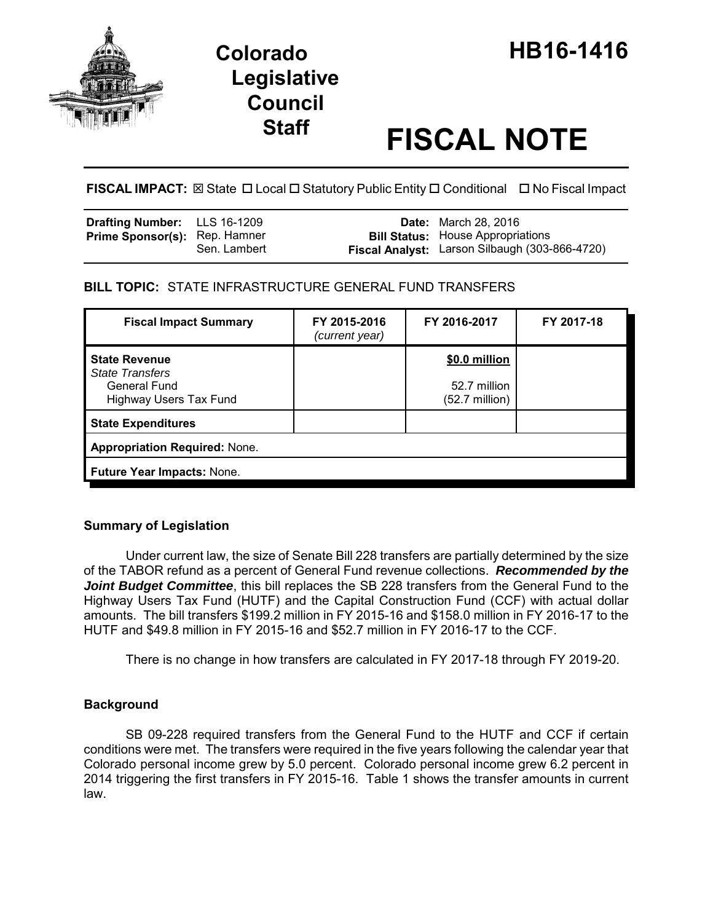

# **Legislative Council**

# **Staff FISCAL NOTE**

**FISCAL IMPACT:** ⊠ State **D** Local **D** Statutory Public Entity **D** Conditional **D** No Fiscal Impact

| <b>Drafting Number:</b> LLS 16-1209  |              | <b>Date:</b> March 28, 2016                                                                |
|--------------------------------------|--------------|--------------------------------------------------------------------------------------------|
| <b>Prime Sponsor(s): Rep. Hamner</b> | Sen. Lambert | <b>Bill Status:</b> House Appropriations<br>Fiscal Analyst: Larson Silbaugh (303-866-4720) |

# **BILL TOPIC:** STATE INFRASTRUCTURE GENERAL FUND TRANSFERS

| <b>Fiscal Impact Summary</b>                                                                           | FY 2015-2016<br>(current year) | FY 2016-2017                                              | FY 2017-18 |  |  |
|--------------------------------------------------------------------------------------------------------|--------------------------------|-----------------------------------------------------------|------------|--|--|
| <b>State Revenue</b><br><b>State Transfers</b><br><b>General Fund</b><br><b>Highway Users Tax Fund</b> |                                | \$0.0 million<br>52.7 million<br>$(52.7 \text{ million})$ |            |  |  |
| <b>State Expenditures</b>                                                                              |                                |                                                           |            |  |  |
| <b>Appropriation Required: None.</b>                                                                   |                                |                                                           |            |  |  |
| <b>Future Year Impacts: None.</b>                                                                      |                                |                                                           |            |  |  |

# **Summary of Legislation**

Under current law, the size of Senate Bill 228 transfers are partially determined by the size of the TABOR refund as a percent of General Fund revenue collections. *Recommended by the* **Joint Budget Committee**, this bill replaces the SB 228 transfers from the General Fund to the Highway Users Tax Fund (HUTF) and the Capital Construction Fund (CCF) with actual dollar amounts. The bill transfers \$199.2 million in FY 2015-16 and \$158.0 million in FY 2016-17 to the HUTF and \$49.8 million in FY 2015-16 and \$52.7 million in FY 2016-17 to the CCF.

There is no change in how transfers are calculated in FY 2017-18 through FY 2019-20.

# **Background**

SB 09-228 required transfers from the General Fund to the HUTF and CCF if certain conditions were met. The transfers were required in the five years following the calendar year that Colorado personal income grew by 5.0 percent. Colorado personal income grew 6.2 percent in 2014 triggering the first transfers in FY 2015-16. Table 1 shows the transfer amounts in current law.